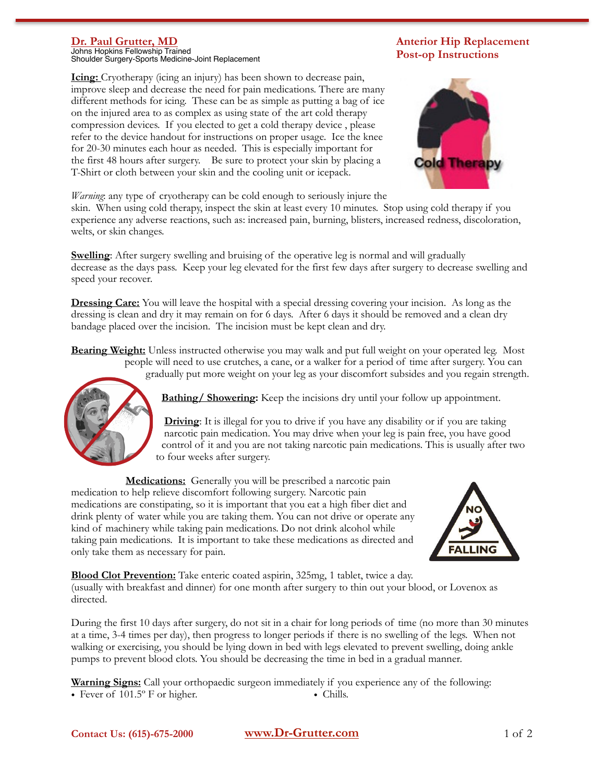## **Dr. Paul Grutter, MD**

Johns Hopkins Fellowship Trained Shoulder Surgery-Sports Medicine-Joint Replacement

**Icing:** Cryotherapy (icing an injury) has been shown to decrease pain, improve sleep and decrease the need for pain medications. There are many different methods for icing. These can be as simple as putting a bag of ice on the injured area to as complex as using state of the art cold therapy compression devices. If you elected to get a cold therapy device , please refer to the device handout for instructions on proper usage. Ice the knee for 20-30 minutes each hour as needed. This is especially important for the first 48 hours after surgery. Be sure to protect your skin by placing a T-Shirt or cloth between your skin and the cooling unit or icepack.

**Anterior Hip Replacement Post-op Instructions**



*Warning*: any type of cryotherapy can be cold enough to seriously injure the

skin. When using cold therapy, inspect the skin at least every 10 minutes. Stop using cold therapy if you experience any adverse reactions, such as: increased pain, burning, blisters, increased redness, discoloration, welts, or skin changes.

**Swelling**: After surgery swelling and bruising of the operative leg is normal and will gradually decrease as the days pass. Keep your leg elevated for the first few days after surgery to decrease swelling and speed your recover.

**Dressing Care:** You will leave the hospital with a special dressing covering your incision. As long as the dressing is clean and dry it may remain on for 6 days. After 6 days it should be removed and a clean dry bandage placed over the incision. The incision must be kept clean and dry.

**Bearing Weight:** Unless instructed otherwise you may walk and put full weight on your operated leg. Most people will need to use crutches, a cane, or a walker for a period of time after surgery. You can gradually put more weight on your leg as your discomfort subsides and you regain strength.



**Bathing/ Showering:** Keep the incisions dry until your follow up appointment.

**Driving:** It is illegal for you to drive if you have any disability or if you are taking narcotic pain medication. You may drive when your leg is pain free, you have good control of it and you are not taking narcotic pain medications. This is usually after two to four weeks after surgery.

**Medications:** Generally you will be prescribed a narcotic pain medication to help relieve discomfort following surgery. Narcotic pain medications are constipating, so it is important that you eat a high fiber diet and drink plenty of water while you are taking them. You can not drive or operate any kind of machinery while taking pain medications. Do not drink alcohol while taking pain medications. It is important to take these medications as directed and only take them as necessary for pain.



**Blood Clot Prevention:** Take enteric coated aspirin, 325mg, 1 tablet, twice a day. (usually with breakfast and dinner) for one month after surgery to thin out your blood, or Lovenox as directed.

During the first 10 days after surgery, do not sit in a chair for long periods of time (no more than 30 minutes at a time, 3-4 times per day), then progress to longer periods if there is no swelling of the legs. When not walking or exercising, you should be lying down in bed with legs elevated to prevent swelling, doing ankle pumps to prevent blood clots. You should be decreasing the time in bed in a gradual manner.

**Warning Signs:** Call your orthopaedic surgeon immediately if you experience any of the following: • Fever of 101.5° F or higher. • Chills.